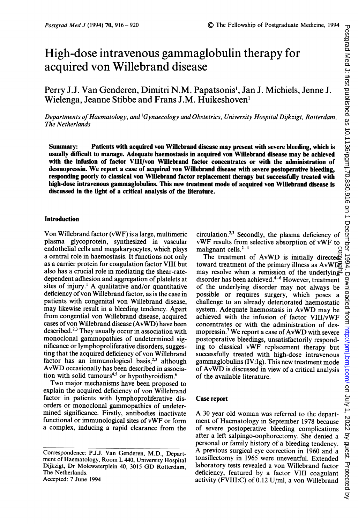# High-dose intravenous gammaglobulin therapy for acquired von Willebrand disease

Perry J.J. Van Genderen, Dimitri N.M. Papatsonis', Jan J. Michiels, Jenne J. Wielenga, Jeanne Stibbe and Frans J.M. Huikeshoven'

Departments of Haematology, and <sup>1</sup>Gynaecology and Obstetrics, University Hospital Dijkzigt, Rotterdam, The Netherlands

Summary: Patients with acquired von Willebrand disease may present with severe bleeding, which is usually difficult to manage. Adequate haemostasis in acquired von Willebrand disease may be achieved with the infusion of factor VIII/von Willebrand factor concentrates or with the administration of desmopressin. We report <sup>a</sup> case of acquired von Willebrand disease with severe postoperative bleeding, responding poorly to classical von Willebrand factor replacement therapy but successfully treated with high-dose intravenous gammaglobulins. This new treatment mode of acquired von Willebrand disease is discussed in the light of a critical analysis of the literature.

### Introduction

Von Willebrand factor (vWF) is a large, multimeric plasma glycoprotein, synthesized in vascular endothelial cells and megakaryocytes, which plays a central role in haemostasis. It functions not only as a carrier protein for coagulation factor VIII but also has a crucial role in mediating the shear-ratedependent adhesion and aggregation of platelets at sites of injury.<sup>1</sup> A qualitative and/or quantitative deficiency of von Willebrand factor, as is the case in patients with congenital von Willebrand disease, may likewise result in a bleeding tendency. Apart from congential von Willebrand disease, acquired cases of von Willebrand disease (AvWD) have been described.<sup>2,3</sup> They usually occur in association with monoclonal gammopathies of undetermined significance or lymphoproliferative disorders, suggesting that the acquired deficiency of von Willebrand factor has an immunological basis, $2,3$  although AvWD occasionally has been described in association with solid tumours<sup>4,5</sup> or hypothyroidism.<sup>6</sup>

Two major mechanisms have been proposed to explain the acquired deficiency of von Willebrand factor in patients with lymphoproliferative disorders or monoclonal gammopathies of undetermined significance. Firstly, antibodies inactivate functional or immunological sites of vWF or form a complex, inducing a rapid clearance from the

circulation.2'3 Secondly, the plasma deficiency of vWF results from selective absorption of vWF to malignant cells. $2-4$ 

alignant cells.<sup>2-4</sup><br>The treatment of AvWD is initially directed<br>ward treatment of the primary illness as AvWDE<br>ay resolve when a remission of the underlyingtoward treatment of the primary illness as  $AvWD\overline{S}$ may resolve when a remission of the underlying disorder has been achieved.<sup>4-6</sup> However, treatment of the underlying disorder may not always be possible or requires surgery, which poses a challenge to an already deteriorated haemostatic system. Adequate haemostasis in AvWD may be achieved with the infusion of factor VIII/vWF concentrates or with the administration of desmopressin.7 We report <sup>a</sup> case of AvWD with severe postoperative bleedings, unsatisfactorily responding to classical vWF replacement therapy but successfully treated with high-dose intravenous gammaglobulins (IV:Ig). This new treatment mode of AvWD is discussed in view of <sup>a</sup> critical analysis of the available literature.

## Case report

A <sup>30</sup> year old woman was referred to the department of Haematology in September 1978 because of severe postoperative bleeding complications after a left salpingo-oophorectomy. She denied a personal or family history of a bleeding tendency. A previous surgical eye correction in <sup>1960</sup> and <sup>a</sup> tonsillectomy in 1965 were uneventful. Extended laboratory tests revealed a von Willebrand factor deficiency, featured by a factor VIII coagulant activity (FVIII:C) of 0.12 U/ml, a von Willebrand

Correspondence: P.J.J. Van Genderen, M.D., Department of Haematology, Room L 440, University Hospital Dijkzigt, Dr Molewaterplein 40, <sup>3015</sup> GD Rotterdam, The Netherlands. Accepted: 7 June 1994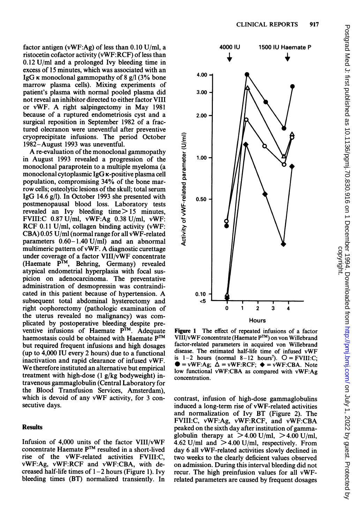factor antigen (vWF:Ag) of less than  $0.10$  U/ml, a ristocetin cofactor activity (vWF:RCF) of less than 0.12 U/ml and a prolonged Ivy bleeding time in excess of 15 minutes, which was associated with an IgG  $\kappa$  monoclonal gammopathy of 8 g/l (3% bone marrow plasma cells). Mixing experiments of patient's plasma with normal pooled plasma did not reveal an inhibitor directed to either factor VIII or vWF. A right salpingectomy in May <sup>1981</sup> because of a ruptured endometriosis cyst and a surgical reposition in September 1982 of a fractured olecranon were uneventful after preventive cryoprecipitate infusions. The period October 1982-August 1993 was uneventful.

A re-evaluation of the monoclonal gammopathy in August 1993 revealed a progression of the monoclonal paraprotein to a multiple myeloma (a monoclonal cytoplasmic IgG K-positive plasma cell population, compromising 34% of the bone marrow cells; osteolytic lesions of the skull; total serum IgG 14.6 g/l). In October 1993 she presented with postmenopausal blood loss. Laboratory tests revealed an Ivy bleeding time $> 15$  minutes, FVIII:C 0.87 U/ml, vWF:Ag 0.38 U/ml, vWF: RCF 0.11 U/ml, collagen binding activity (vWF: CBA) 0.05 U/ml (normal range for all vWF-related parameters  $0.60 - 1.40$  U/ml) and an abnormal multimeric pattern of vWF. A diagnostic curettage under coverage of a factor VIII/vWF concentrate (Haemate  $P^{TM}$ , Behring, Germany) revealed atypical endometrial hyperplasia with focal suspicion on adenocarcinoma. The preventative administration of desmopressin was contraindicated in this patient because of hypertension. A subsequent total abdominal hysterectomy and right oophorectomy (pathologic examination of the uterus revealed no malignancy) was complicated by postoperative bleeding despite preventive infusions of Haemate  $P^{TM}$ . Adequate haemostasis could be obtained with Haemate P<sup>TM</sup> but required frequent infusions and high dosages (up to 4,000 IU every 2 hours) due to a functional inactivation and rapid clearance of infused vWF. We therefore instituted an alternative but empirical treatment with high-dose (1 g/kg bodyweight) intravenous gammaglobulin (Central Laboratory for the Blood Transfusion Services, Amsterdam), which is devoid of any vWF activity, for <sup>3</sup> consecutive days.

### **Results**

Infusion of 4,000 units of the factor VIII/vWF concentrate Haemate PTm resulted in a short-lived rise of the vWF-related activities FVIII:C, vWF:Ag, vWF:RCF and vWF:CBA, with decreased half-life times of  $1-2$  hours (Figure 1). Ivy bleeding times (BT) normalized transiently. In



Figure <sup>1</sup> The effect of repeated infusions of a factor VIII/vWF concentrate (Haemate P™) on von Willebrand factor-related parameters in acquired von Willebrand disease. The estimated half-life time of infused vWF is  $1-2$  hours (normal  $8-12$  hours<sup>7</sup>).  $O = FVIII:C;$  $\bullet$  = vWF:Ag;  $\Delta$  = vWF:RCF;  $\bullet$  = vWF:CBA. Note low functional vWF:CBA as compared with vWF:Ag concentration.

contrast, infusion of high-dose gammaglobulins induced a long-term rise of vWF-related activities and normalization of Ivy BT (Figure 2). The FVIII:C, vWF:Ag, vWF:RCF, and vWF:CBA peaked on the sixth day after institution of gammaglobulin therapy at  $>$  4.00 U/ml,  $>$  4.00 U/ml, 4.62 U/ml and  $>$  4.00 U/ml, respectively. From day 6 all vWF-related activities slowly declined in two weeks to the clearly deficient values observed on admission. During this interval bleeding did not recur. The high preinfusion values for all vWFrelated parameters are caused by frequent dosages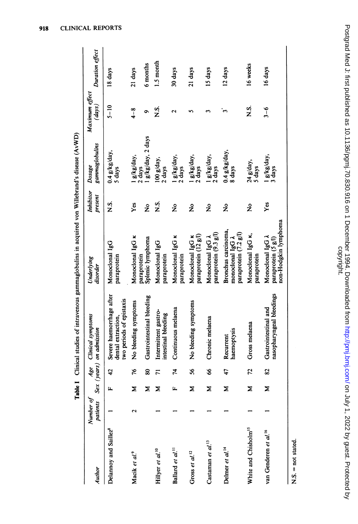| Author                            | patients Sex (<br>Number of |    | Age                     | <b>Clinical symptoms</b><br>years) on admission                            | Underlying<br>disorder                                                     | <b>Inhibitor</b><br>present | gammaglobulins<br>Dosage          | Maximum effecı<br>$\left( days\right)$ | Duration effect |
|-----------------------------------|-----------------------------|----|-------------------------|----------------------------------------------------------------------------|----------------------------------------------------------------------------|-----------------------------|-----------------------------------|----------------------------------------|-----------------|
| Delannoy and Saillez <sup>8</sup> |                             | щ  | 42                      | Severe haemorrhage after<br>two periods of epistaxis<br>dental extraction, | Monoclonal IgG<br>paraprotein                                              | s.<br>Z                     | $0.4$ g/kg/day,<br>5 days         | $5 - 10$                               | 18 days         |
| Macik et al.9                     | $\mathbf{\Omega}$           | Σ  | 76                      | No bleeding symptoms                                                       | Monoclonal IgG K<br>paraprotein                                            | Yes                         | l g/kg/day,<br>2 days             | $4 - 8$                                | 21 days         |
|                                   |                             | ⋝  | 80                      | Gastrointestinal bleeding                                                  | Splenic lymphoma                                                           | ż                           | g/kg/day, 2 days                  | ۰                                      | 6 months        |
| Hillyer et al. <sup>10</sup>      |                             | Σ  | $\overline{5}$          | Intermittent gastro-<br>intestinal bleeding                                | Monoclonal IgG<br>paraprotein                                              | s.<br>Z                     | $100 g/day$ ,<br>2 days           | s.<br>Z                                | 1.5 month       |
| Ballard et al. <sup>11</sup>      |                             | μ. | 74                      | Continuous melaena                                                         | Monoclonal IgG K<br>paraprotein                                            | ž                           | l g/kg/day,<br>2 days             | $\mathrel{\sim}$                       | 30 days         |
| Gross et $al.^{12}$               |                             | Σ  | \$6                     | No bleeding symptoms                                                       | paraprotein (12 g/l)<br>Monoclonal IgG K                                   | ž                           | l g/kg/day,<br>2 days             |                                        | 21 days         |
| Castaman et al. <sup>13</sup>     |                             | ⋝  | 8                       | Chronic melaena                                                            | paraprotein (9.3 g/l)<br>Monoclonal IgG A                                  | ž                           | l g/kg/day,<br>2 days             |                                        | 15 days         |
| Delmer et al. <sup>14</sup>       |                             | Σ  | 47                      | haemoptysis<br>Recurrent                                                   | Bronchus carcinoma,<br>paraprotein (7.2 g/l)<br>monoclonal $\lg G \lambda$ | ż                           | $0.4$ $g/kg/day$ .<br>8 days      | $\mathbf{\hat{z}}$                     | 12 days         |
| White and Chisholm <sup>15</sup>  |                             | Σ  | 72                      | Gross melaena                                                              | Monoclonal IgG K,<br>paraprotein                                           | ž                           | 24 g/day,<br>5 days               | s.<br>Z                                | 16 weeks        |
| van Genderen et al. <sup>16</sup> |                             | Σ  | $\overline{\mathbf{S}}$ | nasopharyngeal bleedings<br>Gastrointestinal and                           | non-Hodgkin lymphoma<br>Monoclonal IgG $\lambda$<br>paraprotein (5 g/l)    | Yes                         | $\frac{1}{3}$ $\frac{g}{kg}$ day, | $3 - 6$                                | 16 days         |

Table I Clinical studies of intravenous gammaglobulins in acquired von Willebrand's disease (AvWD)

 $N.S. = not stated.$ 

I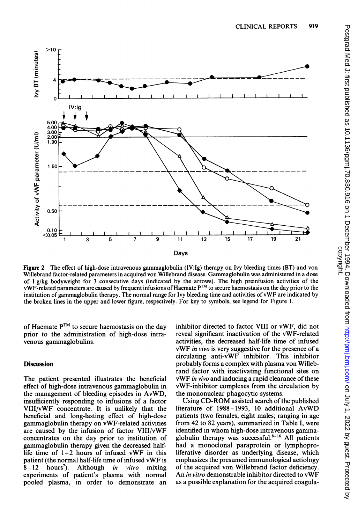

Figure 2 The effect of high-dose intravenous gammaglobulin (IV:Ig) therapy on Ivy bleeding times (BT) and von Willebrand factor-related parameters in acquired von Willebrand disease. Gammaglobulin was administered in a dose of <sup>1</sup> g/kg bodyweight for 3 consecutive days (indicated by the arrows). The high preinfusion activities of the vWF-related parameters are caused by frequent infusions of Haemate P<sup>TM</sup> to secure haemostasis on the day prior to the institution of gammaglobulin therapy. The normal range for Ivy bleeding time and activities of vWF are indicated by the broken lines in the upper and lower figure, respectively. For key to symbols, see legend for Figure 1.

of Haemate  $P^{TM}$  to secure haemostasis on the day prior to the administration of high-dose intravenous gammaglobulins.

## **Discussion**

The patient presented illustrates the beneficial effect of high-dose intravenous gammaglobulin in the management of bleeding episodes in AvWD, insufficiently responding to infusions of a factor VIII/vWF concentrate. It is unlikely that the beneficial and long-lasting effect of high-dose gammaglobulin therapy on vWF-related activities are caused by the infusion of factor VIII/vWF concentrates on the day prior to institution of gammaglobulin therapy given the decreased halflife time of  $1-2$  hours of infused vWF in this patient (the normal half-life time of infused vWF is  $8-12$  hours<sup>7</sup>). Although *in vitro* mixing  $8-12$  hours<sup>7</sup>). Although *in vitro* mixing experiments of patient's plasma with normal pooled plasma, in order to demonstrate an inhibitor directed to factor VIII or vWF, did not reveal significant inactivation of the vWF-related activities, the decreased half-life time of infused vWF in vivo is very suggestive for the presence of <sup>a</sup> circulating anti-vWF inhibitor. This inhibitor probably forms a complex with plasma von Willebrand factor with inactivating functional sites on vWF in vivo and inducing <sup>a</sup> rapid clearance of these vWF-inhibitor complexes from the circulation by the mononuclear phagocytic systems.

Using CD-ROM assisted search of the published literature of 1988-1993, <sup>10</sup> additional AvWD patients (two females, eight males; ranging in age from 42 to 82 years), summarized in Table I, were identified in whom high-dose intravenous gammaglobulin therapy was successful. $8-16$  All patients had a monoclonal paraprotein or lymphoproliferative disorder as underlying disease, which emphasizes the presumed immunological aetiology of the acquired von Willebrand factor deficiency. An in vitro demonstrable inhibitor directed to vWF as a possible explanation for the acquired coagula-